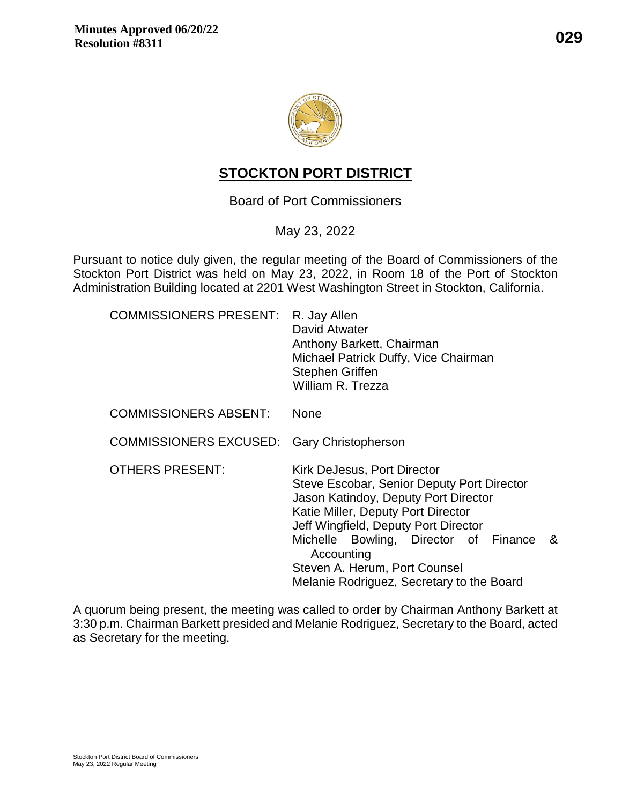



# **STOCKTON PORT DISTRICT**

Board of Port Commissioners

## May 23, 2022

Pursuant to notice duly given, the regular meeting of the Board of Commissioners of the Stockton Port District was held on May 23, 2022, in Room 18 of the Port of Stockton Administration Building located at 2201 West Washington Street in Stockton, California.

| COMMISSIONERS PRESENT: R. Jay Allen               | David Atwater<br>Anthony Barkett, Chairman<br>Michael Patrick Duffy, Vice Chairman<br><b>Stephen Griffen</b><br>William R. Trezza                                                                                                                                                                                                          |
|---------------------------------------------------|--------------------------------------------------------------------------------------------------------------------------------------------------------------------------------------------------------------------------------------------------------------------------------------------------------------------------------------------|
| COMMISSIONERS ABSENT:                             | <b>None</b>                                                                                                                                                                                                                                                                                                                                |
| <b>COMMISSIONERS EXCUSED:</b> Gary Christopherson |                                                                                                                                                                                                                                                                                                                                            |
| <b>OTHERS PRESENT:</b>                            | Kirk DeJesus, Port Director<br>Steve Escobar, Senior Deputy Port Director<br>Jason Katindoy, Deputy Port Director<br>Katie Miller, Deputy Port Director<br>Jeff Wingfield, Deputy Port Director<br>Michelle Bowling, Director of Finance<br>-&<br>Accounting<br>Steven A. Herum, Port Counsel<br>Melanie Rodriguez, Secretary to the Board |

A quorum being present, the meeting was called to order by Chairman Anthony Barkett at 3:30 p.m. Chairman Barkett presided and Melanie Rodriguez, Secretary to the Board, acted as Secretary for the meeting.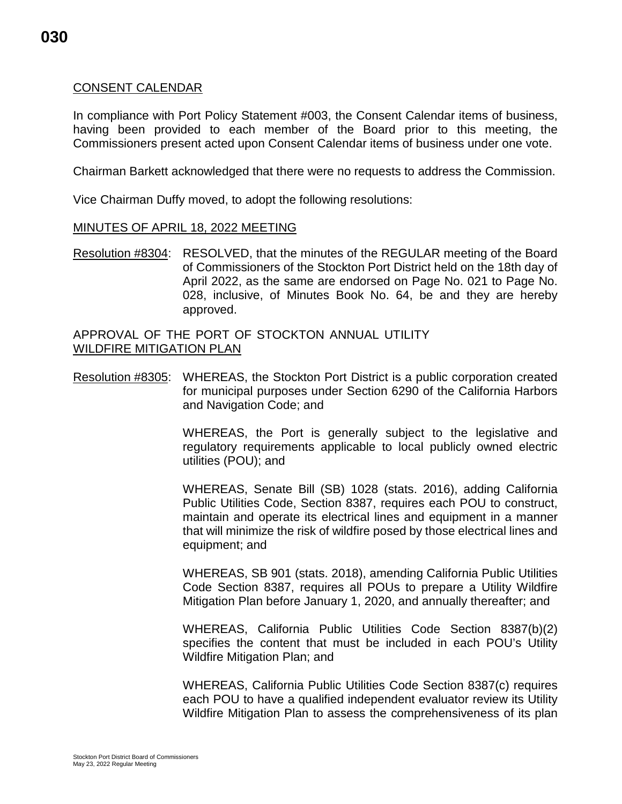### CONSENT CALENDAR

In compliance with Port Policy Statement #003, the Consent Calendar items of business, having been provided to each member of the Board prior to this meeting, the Commissioners present acted upon Consent Calendar items of business under one vote.

Chairman Barkett acknowledged that there were no requests to address the Commission.

Vice Chairman Duffy moved, to adopt the following resolutions:

#### MINUTES OF APRIL 18, 2022 MEETING

Resolution #8304: RESOLVED, that the minutes of the REGULAR meeting of the Board of Commissioners of the Stockton Port District held on the 18th day of April 2022, as the same are endorsed on Page No. 021 to Page No. 028, inclusive, of Minutes Book No. 64, be and they are hereby approved.

APPROVAL OF THE PORT OF STOCKTON ANNUAL UTILITY WILDFIRE MITIGATION PLAN

Resolution #8305: WHEREAS, the Stockton Port District is a public corporation created for municipal purposes under Section 6290 of the California Harbors and Navigation Code; and

> WHEREAS, the Port is generally subject to the legislative and regulatory requirements applicable to local publicly owned electric utilities (POU); and

> WHEREAS, Senate Bill (SB) 1028 (stats. 2016), adding California Public Utilities Code, Section 8387, requires each POU to construct, maintain and operate its electrical lines and equipment in a manner that will minimize the risk of wildfire posed by those electrical lines and equipment; and

> WHEREAS, SB 901 (stats. 2018), amending California Public Utilities Code Section 8387, requires all POUs to prepare a Utility Wildfire Mitigation Plan before January 1, 2020, and annually thereafter; and

> WHEREAS, California Public Utilities Code Section 8387(b)(2) specifies the content that must be included in each POU's Utility Wildfire Mitigation Plan; and

> WHEREAS, California Public Utilities Code Section 8387(c) requires each POU to have a qualified independent evaluator review its Utility Wildfire Mitigation Plan to assess the comprehensiveness of its plan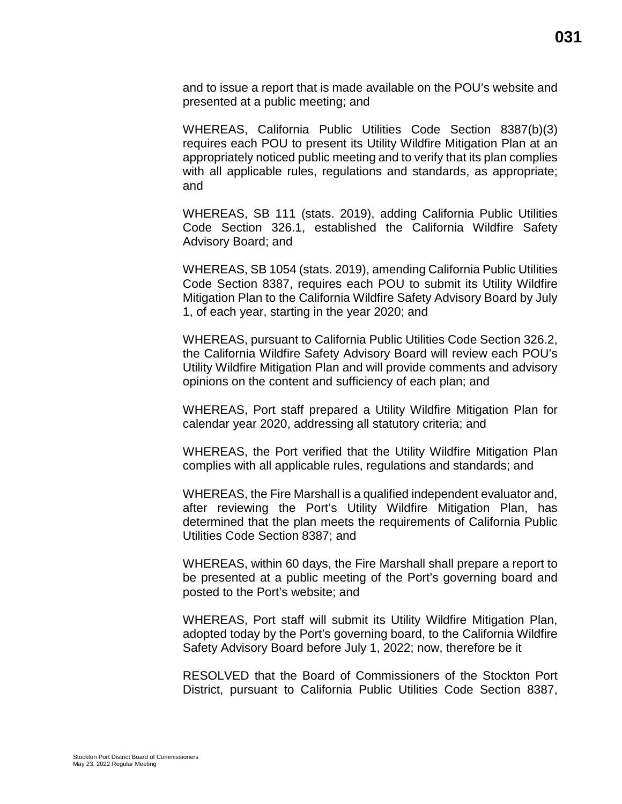and to issue a report that is made available on the POU's website and presented at a public meeting; and

WHEREAS, California Public Utilities Code Section 8387(b)(3) requires each POU to present its Utility Wildfire Mitigation Plan at an appropriately noticed public meeting and to verify that its plan complies with all applicable rules, regulations and standards, as appropriate; and

WHEREAS, SB 111 (stats. 2019), adding California Public Utilities Code Section 326.1, established the California Wildfire Safety Advisory Board; and

WHEREAS, SB 1054 (stats. 2019), amending California Public Utilities Code Section 8387, requires each POU to submit its Utility Wildfire Mitigation Plan to the California Wildfire Safety Advisory Board by July 1, of each year, starting in the year 2020; and

WHEREAS, pursuant to California Public Utilities Code Section 326.2, the California Wildfire Safety Advisory Board will review each POU's Utility Wildfire Mitigation Plan and will provide comments and advisory opinions on the content and sufficiency of each plan; and

WHEREAS, Port staff prepared a Utility Wildfire Mitigation Plan for calendar year 2020, addressing all statutory criteria; and

WHEREAS, the Port verified that the Utility Wildfire Mitigation Plan complies with all applicable rules, regulations and standards; and

WHEREAS, the Fire Marshall is a qualified independent evaluator and, after reviewing the Port's Utility Wildfire Mitigation Plan, has determined that the plan meets the requirements of California Public Utilities Code Section 8387; and

WHEREAS, within 60 days, the Fire Marshall shall prepare a report to be presented at a public meeting of the Port's governing board and posted to the Port's website; and

WHEREAS, Port staff will submit its Utility Wildfire Mitigation Plan, adopted today by the Port's governing board, to the California Wildfire Safety Advisory Board before July 1, 2022; now, therefore be it

RESOLVED that the Board of Commissioners of the Stockton Port District, pursuant to California Public Utilities Code Section 8387,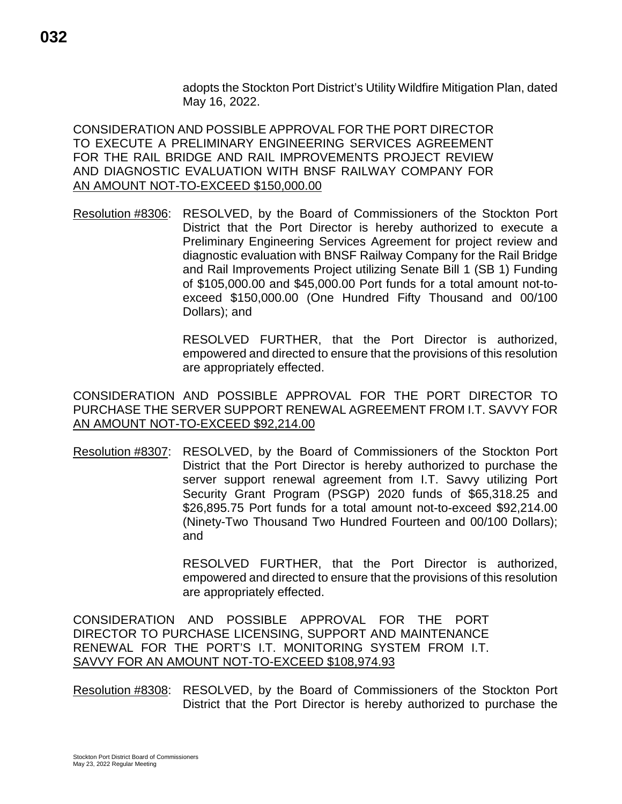adopts the Stockton Port District's Utility Wildfire Mitigation Plan, dated May 16, 2022.

CONSIDERATION AND POSSIBLE APPROVAL FOR THE PORT DIRECTOR TO EXECUTE A PRELIMINARY ENGINEERING SERVICES AGREEMENT FOR THE RAIL BRIDGE AND RAIL IMPROVEMENTS PROJECT REVIEW AND DIAGNOSTIC EVALUATION WITH BNSF RAILWAY COMPANY FOR AN AMOUNT NOT-TO-EXCEED \$150,000.00

Resolution #8306: RESOLVED, by the Board of Commissioners of the Stockton Port District that the Port Director is hereby authorized to execute a Preliminary Engineering Services Agreement for project review and diagnostic evaluation with BNSF Railway Company for the Rail Bridge and Rail Improvements Project utilizing Senate Bill 1 (SB 1) Funding of \$105,000.00 and \$45,000.00 Port funds for a total amount not-toexceed \$150,000.00 (One Hundred Fifty Thousand and 00/100 Dollars); and

> RESOLVED FURTHER, that the Port Director is authorized, empowered and directed to ensure that the provisions of this resolution are appropriately effected.

CONSIDERATION AND POSSIBLE APPROVAL FOR THE PORT DIRECTOR TO PURCHASE THE SERVER SUPPORT RENEWAL AGREEMENT FROM I.T. SAVVY FOR AN AMOUNT NOT-TO-EXCEED \$92,214.00

Resolution #8307: RESOLVED, by the Board of Commissioners of the Stockton Port District that the Port Director is hereby authorized to purchase the server support renewal agreement from I.T. Savvy utilizing Port Security Grant Program (PSGP) 2020 funds of \$65,318.25 and \$26,895.75 Port funds for a total amount not-to-exceed \$92,214.00 (Ninety-Two Thousand Two Hundred Fourteen and 00/100 Dollars); and

> RESOLVED FURTHER, that the Port Director is authorized, empowered and directed to ensure that the provisions of this resolution are appropriately effected.

CONSIDERATION AND POSSIBLE APPROVAL FOR THE PORT DIRECTOR TO PURCHASE LICENSING, SUPPORT AND MAINTENANCE RENEWAL FOR THE PORT'S I.T. MONITORING SYSTEM FROM I.T. SAVVY FOR AN AMOUNT NOT-TO-EXCEED \$108,974.93

Resolution #8308: RESOLVED, by the Board of Commissioners of the Stockton Port District that the Port Director is hereby authorized to purchase the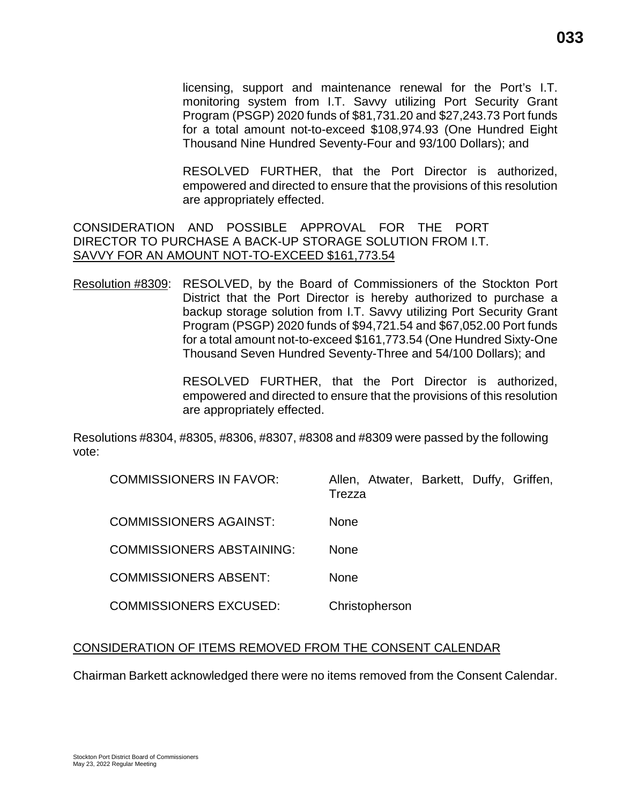licensing, support and maintenance renewal for the Port's I.T. monitoring system from I.T. Savvy utilizing Port Security Grant Program (PSGP) 2020 funds of \$81,731.20 and \$27,243.73 Port funds for a total amount not-to-exceed \$108,974.93 (One Hundred Eight Thousand Nine Hundred Seventy-Four and 93/100 Dollars); and

RESOLVED FURTHER, that the Port Director is authorized, empowered and directed to ensure that the provisions of this resolution are appropriately effected.

CONSIDERATION AND POSSIBLE APPROVAL FOR THE PORT DIRECTOR TO PURCHASE A BACK-UP STORAGE SOLUTION FROM I.T. SAVVY FOR AN AMOUNT NOT-TO-EXCEED \$161,773.54

Resolution #8309: RESOLVED, by the Board of Commissioners of the Stockton Port District that the Port Director is hereby authorized to purchase a backup storage solution from I.T. Savvy utilizing Port Security Grant Program (PSGP) 2020 funds of \$94,721.54 and \$67,052.00 Port funds for a total amount not-to-exceed \$161,773.54 (One Hundred Sixty-One Thousand Seven Hundred Seventy-Three and 54/100 Dollars); and

> RESOLVED FURTHER, that the Port Director is authorized, empowered and directed to ensure that the provisions of this resolution are appropriately effected.

Resolutions #8304, #8305, #8306, #8307, #8308 and #8309 were passed by the following vote:

| <b>COMMISSIONERS IN FAVOR:</b>   | Allen, Atwater, Barkett, Duffy, Griffen,<br>Trezza |
|----------------------------------|----------------------------------------------------|
| <b>COMMISSIONERS AGAINST:</b>    | <b>None</b>                                        |
| <b>COMMISSIONERS ABSTAINING:</b> | <b>None</b>                                        |
| <b>COMMISSIONERS ABSENT:</b>     | <b>None</b>                                        |
| <b>COMMISSIONERS EXCUSED:</b>    | Christopherson                                     |

#### CONSIDERATION OF ITEMS REMOVED FROM THE CONSENT CALENDAR

Chairman Barkett acknowledged there were no items removed from the Consent Calendar.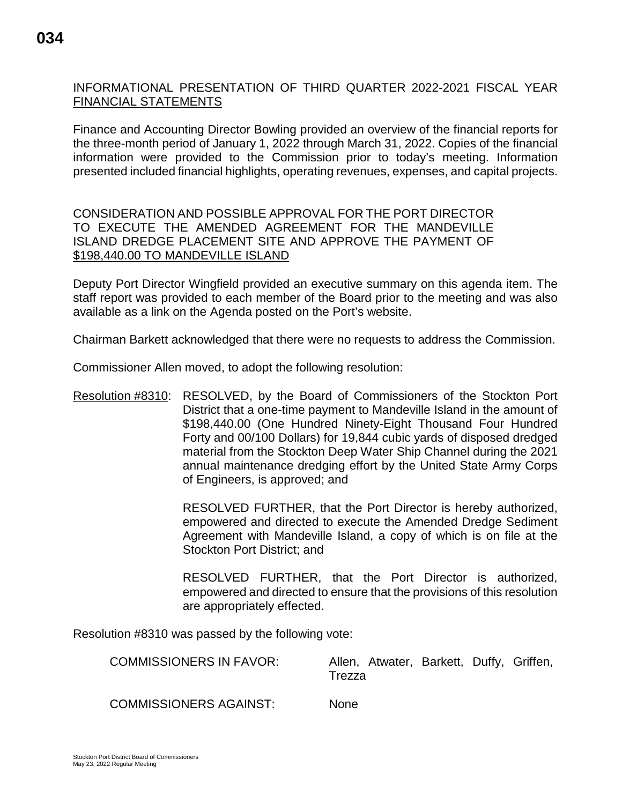# **034**

### INFORMATIONAL PRESENTATION OF THIRD QUARTER 2022-2021 FISCAL YEAR FINANCIAL STATEMENTS

Finance and Accounting Director Bowling provided an overview of the financial reports for the three-month period of January 1, 2022 through March 31, 2022. Copies of the financial information were provided to the Commission prior to today's meeting. Information presented included financial highlights, operating revenues, expenses, and capital projects.

CONSIDERATION AND POSSIBLE APPROVAL FOR THE PORT DIRECTOR TO EXECUTE THE AMENDED AGREEMENT FOR THE MANDEVILLE ISLAND DREDGE PLACEMENT SITE AND APPROVE THE PAYMENT OF \$198,440.00 TO MANDEVILLE ISLAND

Deputy Port Director Wingfield provided an executive summary on this agenda item. The staff report was provided to each member of the Board prior to the meeting and was also available as a link on the Agenda posted on the Port's website.

Chairman Barkett acknowledged that there were no requests to address the Commission.

Commissioner Allen moved, to adopt the following resolution:

Resolution #8310: RESOLVED, by the Board of Commissioners of the Stockton Port District that a one-time payment to Mandeville Island in the amount of \$198,440.00 (One Hundred Ninety-Eight Thousand Four Hundred Forty and 00/100 Dollars) for 19,844 cubic yards of disposed dredged material from the Stockton Deep Water Ship Channel during the 2021 annual maintenance dredging effort by the United State Army Corps of Engineers, is approved; and

> RESOLVED FURTHER, that the Port Director is hereby authorized, empowered and directed to execute the Amended Dredge Sediment Agreement with Mandeville Island, a copy of which is on file at the Stockton Port District; and

> RESOLVED FURTHER, that the Port Director is authorized, empowered and directed to ensure that the provisions of this resolution are appropriately effected.

Resolution #8310 was passed by the following vote:

| <b>COMMISSIONERS IN FAVOR:</b> | Allen, Atwater, Barkett, Duffy, Griffen,<br>Trezza |
|--------------------------------|----------------------------------------------------|
| <b>COMMISSIONERS AGAINST:</b>  | <b>None</b>                                        |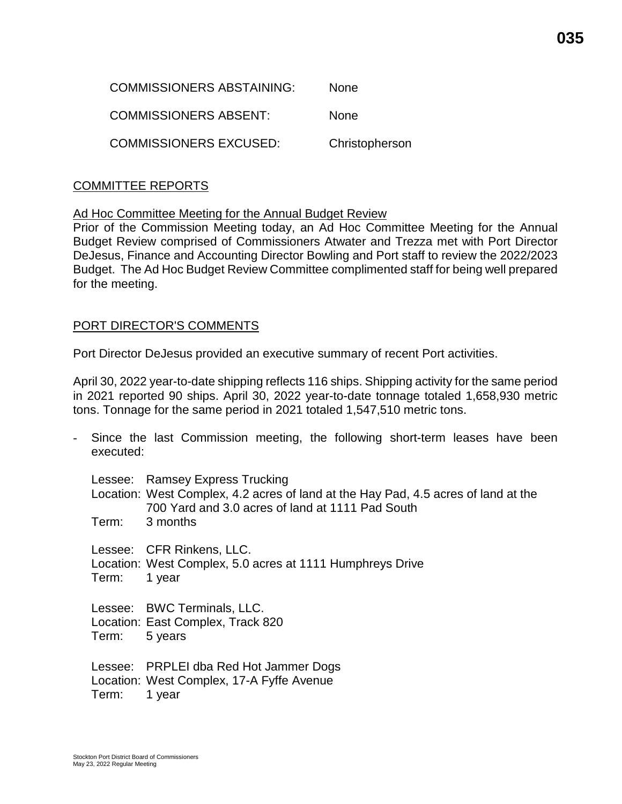| COMMISSIONERS ABSTAINING: | <b>None</b>    |
|---------------------------|----------------|
| COMMISSIONERS ABSENT:     | <b>None</b>    |
| COMMISSIONERS EXCUSED:    | Christopherson |

#### COMMITTEE REPORTS

Ad Hoc Committee Meeting for the Annual Budget Review

Prior of the Commission Meeting today, an Ad Hoc Committee Meeting for the Annual Budget Review comprised of Commissioners Atwater and Trezza met with Port Director DeJesus, Finance and Accounting Director Bowling and Port staff to review the 2022/2023 Budget. The Ad Hoc Budget Review Committee complimented staff for being well prepared for the meeting.

#### PORT DIRECTOR'S COMMENTS

Port Director DeJesus provided an executive summary of recent Port activities.

April 30, 2022 year-to-date shipping reflects 116 ships. Shipping activity for the same period in 2021 reported 90 ships. April 30, 2022 year-to-date tonnage totaled 1,658,930 metric tons. Tonnage for the same period in 2021 totaled 1,547,510 metric tons.

Since the last Commission meeting, the following short-term leases have been executed: Lessee: Ramsey Express Trucking Location: West Complex, 4.2 acres of land at the Hay Pad, 4.5 acres of land at the 700 Yard and 3.0 acres of land at 1111 Pad South Term: 3 months Lessee: CFR Rinkens, LLC. Location: West Complex, 5.0 acres at 1111 Humphreys Drive Term: 1 year Lessee: BWC Terminals, LLC. Location: East Complex, Track 820 Term: 5 years Lessee: PRPLEI dba Red Hot Jammer Dogs Location: West Complex, 17-A Fyffe Avenue Term: 1 year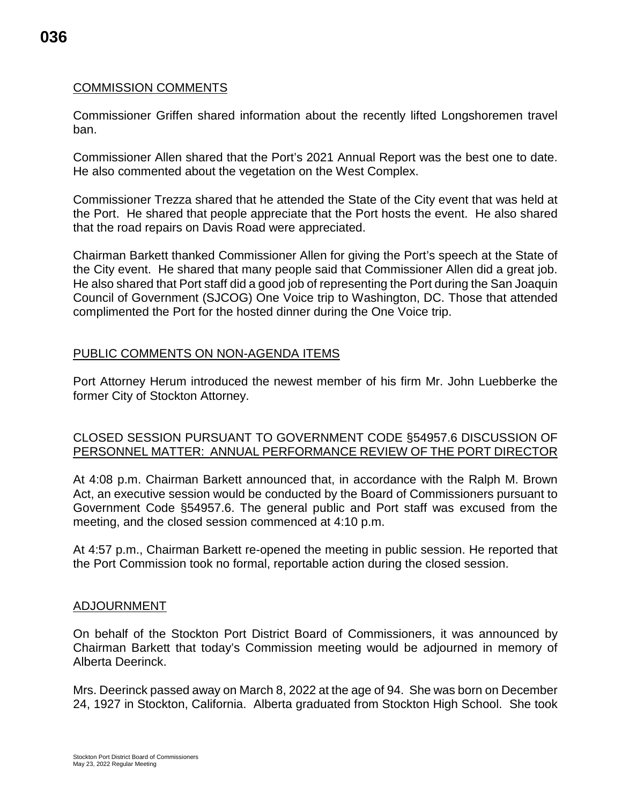# **036**

#### COMMISSION COMMENTS

Commissioner Griffen shared information about the recently lifted Longshoremen travel ban.

Commissioner Allen shared that the Port's 2021 Annual Report was the best one to date. He also commented about the vegetation on the West Complex.

Commissioner Trezza shared that he attended the State of the City event that was held at the Port. He shared that people appreciate that the Port hosts the event. He also shared that the road repairs on Davis Road were appreciated.

Chairman Barkett thanked Commissioner Allen for giving the Port's speech at the State of the City event. He shared that many people said that Commissioner Allen did a great job. He also shared that Port staff did a good job of representing the Port during the San Joaquin Council of Government (SJCOG) One Voice trip to Washington, DC. Those that attended complimented the Port for the hosted dinner during the One Voice trip.

#### PUBLIC COMMENTS ON NON-AGENDA ITEMS

Port Attorney Herum introduced the newest member of his firm Mr. John Luebberke the former City of Stockton Attorney.

#### CLOSED SESSION PURSUANT TO GOVERNMENT CODE §54957.6 DISCUSSION OF PERSONNEL MATTER: ANNUAL PERFORMANCE REVIEW OF THE PORT DIRECTOR

At 4:08 p.m. Chairman Barkett announced that, in accordance with the Ralph M. Brown Act, an executive session would be conducted by the Board of Commissioners pursuant to Government Code §54957.6. The general public and Port staff was excused from the meeting, and the closed session commenced at 4:10 p.m.

At 4:57 p.m., Chairman Barkett re-opened the meeting in public session. He reported that the Port Commission took no formal, reportable action during the closed session.

#### ADJOURNMENT

On behalf of the Stockton Port District Board of Commissioners, it was announced by Chairman Barkett that today's Commission meeting would be adjourned in memory of Alberta Deerinck.

Mrs. Deerinck passed away on March 8, 2022 at the age of 94. She was born on December 24, 1927 in Stockton, California. Alberta graduated from Stockton High School. She took